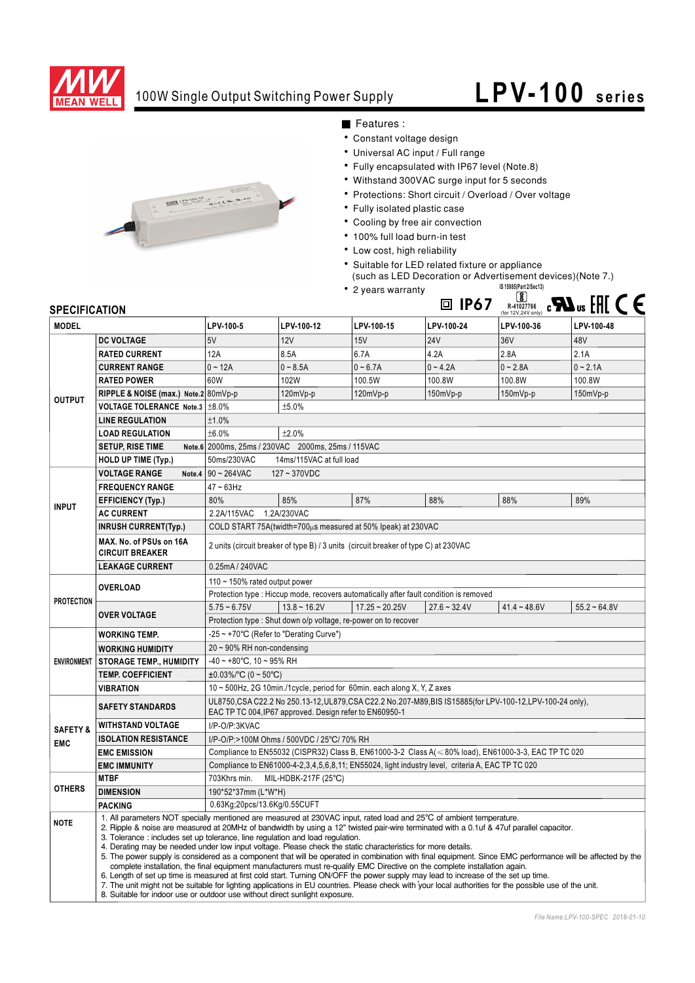

## 100W Single Output Switching Power Supply

## **LPV-100 series**



■ Features :

- Constant voltage design
- Universal AC input / Full range
- Fully encapsulated with IP67 level (Note.8)
- Withstand 300VAC surge input for 5 seconds
- Protections: Short circuit / Overload / Over voltage
- Fully isolated plastic case
- Cooling by free air convection
- · 100% full load burn-in test
- Low cost, high reliability
- Suitable for LED related fixture or appliance Such as LED Decoration or Advertisement devices) (Note 7.)<br>2 years warranty

**IP67** R-41027766

• 2 years warranty



| JE LUII IUMI IUN    |                                                                                                                                                                                                                                                                                                                                                                                                                                                                                                                                                                                                                                                                                                                                                                                                                                                                                                                                                                                                                                                                                                                                             |                                                                                                                                                                       |                                                                |                  |                | (for 12V,24V only) $  -$ | --             |
|---------------------|---------------------------------------------------------------------------------------------------------------------------------------------------------------------------------------------------------------------------------------------------------------------------------------------------------------------------------------------------------------------------------------------------------------------------------------------------------------------------------------------------------------------------------------------------------------------------------------------------------------------------------------------------------------------------------------------------------------------------------------------------------------------------------------------------------------------------------------------------------------------------------------------------------------------------------------------------------------------------------------------------------------------------------------------------------------------------------------------------------------------------------------------|-----------------------------------------------------------------------------------------------------------------------------------------------------------------------|----------------------------------------------------------------|------------------|----------------|--------------------------|----------------|
| <b>MODEL</b>        |                                                                                                                                                                                                                                                                                                                                                                                                                                                                                                                                                                                                                                                                                                                                                                                                                                                                                                                                                                                                                                                                                                                                             | LPV-100-5                                                                                                                                                             | LPV-100-12                                                     | LPV-100-15       | LPV-100-24     | LPV-100-36               | LPV-100-48     |
| <b>OUTPUT</b>       | <b>DC VOLTAGE</b>                                                                                                                                                                                                                                                                                                                                                                                                                                                                                                                                                                                                                                                                                                                                                                                                                                                                                                                                                                                                                                                                                                                           | 5V                                                                                                                                                                    | 12V                                                            | 15V              | <b>24V</b>     | 36V                      | 48V            |
|                     | <b>RATED CURRENT</b>                                                                                                                                                                                                                                                                                                                                                                                                                                                                                                                                                                                                                                                                                                                                                                                                                                                                                                                                                                                                                                                                                                                        | 12A                                                                                                                                                                   | 8.5A                                                           | 6.7A             | 4.2A           | 2.8A                     | 2.1A           |
|                     | <b>CURRENT RANGE</b>                                                                                                                                                                                                                                                                                                                                                                                                                                                                                                                                                                                                                                                                                                                                                                                                                                                                                                                                                                                                                                                                                                                        | $0 - 12A$                                                                                                                                                             | $0 - 8.5A$                                                     | $0 - 6.7A$       | $0 - 4.2A$     | $0 - 2.8A$               | $0 - 2.1A$     |
|                     | <b>RATED POWER</b>                                                                                                                                                                                                                                                                                                                                                                                                                                                                                                                                                                                                                                                                                                                                                                                                                                                                                                                                                                                                                                                                                                                          | 60W                                                                                                                                                                   | 102W                                                           | 100.5W           | 100.8W         | 100.8W                   | 100.8W         |
|                     | RIPPLE & NOISE (max.) Note.2 80mVp-p                                                                                                                                                                                                                                                                                                                                                                                                                                                                                                                                                                                                                                                                                                                                                                                                                                                                                                                                                                                                                                                                                                        |                                                                                                                                                                       | 120mVp-p                                                       | 120mVp-p         | 150mVp-p       | 150mVp-p                 | $150mVp-p$     |
|                     | VOLTAGE TOLERANCE Note.3   ±8.0%                                                                                                                                                                                                                                                                                                                                                                                                                                                                                                                                                                                                                                                                                                                                                                                                                                                                                                                                                                                                                                                                                                            |                                                                                                                                                                       | ±5.0%                                                          |                  |                |                          |                |
|                     | <b>LINE REGULATION</b>                                                                                                                                                                                                                                                                                                                                                                                                                                                                                                                                                                                                                                                                                                                                                                                                                                                                                                                                                                                                                                                                                                                      | ±1.0%                                                                                                                                                                 |                                                                |                  |                |                          |                |
|                     | <b>LOAD REGULATION</b>                                                                                                                                                                                                                                                                                                                                                                                                                                                                                                                                                                                                                                                                                                                                                                                                                                                                                                                                                                                                                                                                                                                      | ±6.0%<br>±2.0%                                                                                                                                                        |                                                                |                  |                |                          |                |
|                     | <b>SETUP, RISE TIME</b>                                                                                                                                                                                                                                                                                                                                                                                                                                                                                                                                                                                                                                                                                                                                                                                                                                                                                                                                                                                                                                                                                                                     | Note.6 2000ms, 25ms / 230VAC 2000ms, 25ms / 115VAC                                                                                                                    |                                                                |                  |                |                          |                |
|                     | <b>HOLD UP TIME (Typ.)</b>                                                                                                                                                                                                                                                                                                                                                                                                                                                                                                                                                                                                                                                                                                                                                                                                                                                                                                                                                                                                                                                                                                                  | 50ms/230VAC<br>14ms/115VAC at full load                                                                                                                               |                                                                |                  |                |                          |                |
| <b>INPUT</b>        | <b>VOLTAGE RANGE</b>                                                                                                                                                                                                                                                                                                                                                                                                                                                                                                                                                                                                                                                                                                                                                                                                                                                                                                                                                                                                                                                                                                                        | Note.4 $90 - 264$ VAC<br>$127 - 370VDC$                                                                                                                               |                                                                |                  |                |                          |                |
|                     | <b>FREQUENCY RANGE</b>                                                                                                                                                                                                                                                                                                                                                                                                                                                                                                                                                                                                                                                                                                                                                                                                                                                                                                                                                                                                                                                                                                                      | $47 - 63$ Hz                                                                                                                                                          |                                                                |                  |                |                          |                |
|                     | <b>EFFICIENCY (Typ.)</b>                                                                                                                                                                                                                                                                                                                                                                                                                                                                                                                                                                                                                                                                                                                                                                                                                                                                                                                                                                                                                                                                                                                    | 80%                                                                                                                                                                   | 85%                                                            | 87%              | 88%            | 88%                      | 89%            |
|                     | <b>AC CURRENT</b>                                                                                                                                                                                                                                                                                                                                                                                                                                                                                                                                                                                                                                                                                                                                                                                                                                                                                                                                                                                                                                                                                                                           | 2.2A/115VAC<br>1.2A/230VAC                                                                                                                                            |                                                                |                  |                |                          |                |
|                     | <b>INRUSH CURRENT(Typ.)</b>                                                                                                                                                                                                                                                                                                                                                                                                                                                                                                                                                                                                                                                                                                                                                                                                                                                                                                                                                                                                                                                                                                                 | COLD START 75A(twidth=700µs measured at 50% Ipeak) at 230VAC                                                                                                          |                                                                |                  |                |                          |                |
|                     | MAX. No. of PSUs on 16A<br><b>CIRCUIT BREAKER</b>                                                                                                                                                                                                                                                                                                                                                                                                                                                                                                                                                                                                                                                                                                                                                                                                                                                                                                                                                                                                                                                                                           | 2 units (circuit breaker of type B) / 3 units (circuit breaker of type C) at 230VAC                                                                                   |                                                                |                  |                |                          |                |
|                     | <b>LEAKAGE CURRENT</b>                                                                                                                                                                                                                                                                                                                                                                                                                                                                                                                                                                                                                                                                                                                                                                                                                                                                                                                                                                                                                                                                                                                      | 0.25mA / 240VAC                                                                                                                                                       |                                                                |                  |                |                          |                |
| <b>PROTECTION</b>   | <b>OVERLOAD</b>                                                                                                                                                                                                                                                                                                                                                                                                                                                                                                                                                                                                                                                                                                                                                                                                                                                                                                                                                                                                                                                                                                                             | 110 $\sim$ 150% rated output power                                                                                                                                    |                                                                |                  |                |                          |                |
|                     |                                                                                                                                                                                                                                                                                                                                                                                                                                                                                                                                                                                                                                                                                                                                                                                                                                                                                                                                                                                                                                                                                                                                             | Protection type : Hiccup mode, recovers automatically after fault condition is removed                                                                                |                                                                |                  |                |                          |                |
|                     | <b>OVER VOLTAGE</b>                                                                                                                                                                                                                                                                                                                                                                                                                                                                                                                                                                                                                                                                                                                                                                                                                                                                                                                                                                                                                                                                                                                         | $5.75 - 6.75V$                                                                                                                                                        | $13.8 - 16.2V$                                                 | $17.25 - 20.25V$ | $27.6 - 32.4V$ | $41.4 - 48.6V$           | $55.2 - 64.8V$ |
|                     |                                                                                                                                                                                                                                                                                                                                                                                                                                                                                                                                                                                                                                                                                                                                                                                                                                                                                                                                                                                                                                                                                                                                             |                                                                                                                                                                       | Protection type: Shut down o/p voltage, re-power on to recover |                  |                |                          |                |
| <b>ENVIRONMENT</b>  | <b>WORKING TEMP.</b>                                                                                                                                                                                                                                                                                                                                                                                                                                                                                                                                                                                                                                                                                                                                                                                                                                                                                                                                                                                                                                                                                                                        | -25 ~ +70°C (Refer to "Derating Curve")                                                                                                                               |                                                                |                  |                |                          |                |
|                     | <b>WORKING HUMIDITY</b>                                                                                                                                                                                                                                                                                                                                                                                                                                                                                                                                                                                                                                                                                                                                                                                                                                                                                                                                                                                                                                                                                                                     | $20 \sim 90\%$ RH non-condensing                                                                                                                                      |                                                                |                  |                |                          |                |
|                     | <b>STORAGE TEMP., HUMIDITY</b>                                                                                                                                                                                                                                                                                                                                                                                                                                                                                                                                                                                                                                                                                                                                                                                                                                                                                                                                                                                                                                                                                                              | $-40 \sim +80^{\circ}$ C, 10 ~ 95% RH                                                                                                                                 |                                                                |                  |                |                          |                |
|                     | <b>TEMP. COEFFICIENT</b>                                                                                                                                                                                                                                                                                                                                                                                                                                                                                                                                                                                                                                                                                                                                                                                                                                                                                                                                                                                                                                                                                                                    | $\pm 0.03\%$ /°C (0 ~ 50°C)                                                                                                                                           |                                                                |                  |                |                          |                |
|                     | <b>VIBRATION</b>                                                                                                                                                                                                                                                                                                                                                                                                                                                                                                                                                                                                                                                                                                                                                                                                                                                                                                                                                                                                                                                                                                                            | 10 ~ 500Hz, 2G 10min./1cycle, period for 60min. each along X, Y, Z axes                                                                                               |                                                                |                  |                |                          |                |
|                     | <b>SAFETY STANDARDS</b>                                                                                                                                                                                                                                                                                                                                                                                                                                                                                                                                                                                                                                                                                                                                                                                                                                                                                                                                                                                                                                                                                                                     | UL8750, CSA C22.2 No 250.13-12, UL879, CSA C22.2 No.207-M89, BIS IS15885(for LPV-100-12, LPV-100-24 only),<br>EAC TP TC 004, IP67 approved. Design refer to EN60950-1 |                                                                |                  |                |                          |                |
| <b>SAFETY &amp;</b> | <b>WITHSTAND VOLTAGE</b>                                                                                                                                                                                                                                                                                                                                                                                                                                                                                                                                                                                                                                                                                                                                                                                                                                                                                                                                                                                                                                                                                                                    | I/P-O/P:3KVAC                                                                                                                                                         |                                                                |                  |                |                          |                |
| <b>EMC</b>          | <b>ISOLATION RESISTANCE</b>                                                                                                                                                                                                                                                                                                                                                                                                                                                                                                                                                                                                                                                                                                                                                                                                                                                                                                                                                                                                                                                                                                                 | I/P-O/P:>100M Ohms / 500VDC / 25°C/ 70% RH                                                                                                                            |                                                                |                  |                |                          |                |
|                     | <b>EMC EMISSION</b>                                                                                                                                                                                                                                                                                                                                                                                                                                                                                                                                                                                                                                                                                                                                                                                                                                                                                                                                                                                                                                                                                                                         | Compliance to EN55032 (CISPR32) Class B, EN61000-3-2 Class A(<80% load), EN61000-3-3, EAC TP TC 020                                                                   |                                                                |                  |                |                          |                |
|                     | <b>EMC IMMUNITY</b>                                                                                                                                                                                                                                                                                                                                                                                                                                                                                                                                                                                                                                                                                                                                                                                                                                                                                                                                                                                                                                                                                                                         | Compliance to EN61000-4-2,3,4,5,6,8,11; EN55024, light industry level, criteria A, EAC TP TC 020                                                                      |                                                                |                  |                |                          |                |
| <b>OTHERS</b>       | <b>MTBF</b>                                                                                                                                                                                                                                                                                                                                                                                                                                                                                                                                                                                                                                                                                                                                                                                                                                                                                                                                                                                                                                                                                                                                 | 703Khrs min.<br>MIL-HDBK-217F (25°C)                                                                                                                                  |                                                                |                  |                |                          |                |
|                     | <b>DIMENSION</b>                                                                                                                                                                                                                                                                                                                                                                                                                                                                                                                                                                                                                                                                                                                                                                                                                                                                                                                                                                                                                                                                                                                            | 190*52*37mm (L*W*H)                                                                                                                                                   |                                                                |                  |                |                          |                |
|                     | <b>PACKING</b>                                                                                                                                                                                                                                                                                                                                                                                                                                                                                                                                                                                                                                                                                                                                                                                                                                                                                                                                                                                                                                                                                                                              | 0.63Kg;20pcs/13.6Kg/0.55CUFT                                                                                                                                          |                                                                |                  |                |                          |                |
| <b>NOTE</b>         | 1. All parameters NOT specially mentioned are measured at 230VAC input, rated load and 25°C of ambient temperature.<br>2. Ripple & noise are measured at 20MHz of bandwidth by using a 12" twisted pair-wire terminated with a 0.1uf & 47uf parallel capacitor.<br>3. Tolerance: includes set up tolerance, line regulation and load regulation.<br>4. Derating may be needed under low input voltage. Please check the static characteristics for more details.<br>5. The power supply is considered as a component that will be operated in combination with final equipment. Since EMC performance will be affected by the<br>complete installation, the final equipment manufacturers must re-qualify EMC Directive on the complete installation again.<br>6. Length of set up time is measured at first cold start. Turning ON/OFF the power supply may lead to increase of the set up time.<br>7. The unit might not be suitable for lighting applications in EU countries. Please check with your local authorities for the possible use of the unit.<br>8. Suitable for indoor use or outdoor use without direct sunlight exposure. |                                                                                                                                                                       |                                                                |                  |                |                          |                |